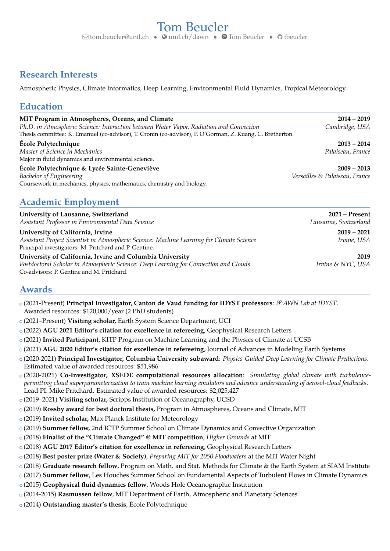## **Research Interests**

Atmospheric Physics, Climate Informatics, Deep Learning, Environmental Fluid Dynamics, Tropical Meteorology.

### **Education**

| MIT Program in Atmospheres, Oceans, and Climate                                                          | $2014 - 2019$                  |
|----------------------------------------------------------------------------------------------------------|--------------------------------|
| Ph.D. in Atmospheric Science: Interaction between Water Vapor, Radiation and Convection                  | Cambridge, USA                 |
| Thesis committee: K. Emanuel (co-advisor), T. Cronin (co-advisor), P. O'Gorman, Z. Kuang, C. Bretherton. |                                |
| École Polytechnique                                                                                      | $2013 - 2014$                  |
| Master of Science in Mechanics                                                                           | Palaiseau, France              |
| Major in fluid dynamics and environmental science.                                                       |                                |
| École Polytechnique & Lycée Sainte-Geneviève                                                             | $2009 - 2013$                  |
| Bachelor of Engineering                                                                                  | Versailles & Palaiseau, France |
| Coursework in mechanics, physics, mathematics, chemistry and biology.                                    |                                |
|                                                                                                          |                                |
|                                                                                                          |                                |

# **Academic Employment**

| University of Lausanne, Switzerland<br>Assistant Professor in Environmental Data Science                                                                                                      | $2021 -$ Present<br>Lausanne, Switzerland |
|-----------------------------------------------------------------------------------------------------------------------------------------------------------------------------------------------|-------------------------------------------|
| University of California, Irvine<br>Assistant Project Scientist in Atmospheric Science: Machine Learning for Climate Science<br>Principal investigators: M. Pritchard and P. Gentine.         | $2019 - 2021$<br>Irvine, USA              |
| University of California, Irvine and Columbia University<br>Postdoctoral Scholar in Atmospheric Science: Deep Learning for Convection and Clouds<br>Co-advisors: P. Gentine and M. Pritchard. | 2019<br>Irvine & NYC, USA                 |

### **Awards**

- <sup>+</sup> (2021-Present) **Principal Investigator, Canton de Vaud funding for IDYST professors**: *∂* <sup>3</sup>*[AWN Lab at IDYST](https://www.unil.ch/idyst/en/home/menuinst/research-groups.html)*. Awarded resources: \$120,000/year (2 PhD students)
- <sup>+</sup> (2021–Present) **Visiting scholar,** Earth System Science Department, UCI
- <sup>+</sup> (2022) **AGU 2021 Editor's citation for excellence in refereeing**, Geophysical Research Letters
- <sup>+</sup> (2021) **Invited Participant**, KITP Program on Machine Learning and the Physics of Climate at UCSB
- <sup>+</sup> (2021) **AGU 2020 Editor's citation for excellence in refereeing**, Journal of Advances in Modeling Earth Systems
- <sup>+</sup> (2020-2021) **Principal Investigator, Columbia University subaward**: *Physics-Guided Deep Learning for Climate Predictions*. Estimated value of awarded resources: \$51,986
- <sup>+</sup> (2020-2021) **Co-Investigator, XSEDE computational resources allocation**: *Simulating global climate with turbulencepermitting cloud superparameterization to train machine learning emulators and advance understanding of aerosol-cloud feedbacks*. Lead PI: Mike Pritchard. Estimated value of awarded resources: \$2,025,427
- <sup>+</sup> (2019–2021) **Visiting scholar,** Scripps Institution of Oceanography, UCSD
- <sup>+</sup> (2019) **Rossby award for best doctoral thesis,** [Program in Atmospheres, Oceans and Climate, MIT](https://eapsweb.mit.edu/news/2020/brian-green-and-tom-beucler-receive-rossby-award-2018-2019)
- <sup>+</sup> (2019) **Invited scholar,** Max Planck Institute for Meteorology
- <sup>+</sup> (2019) **Summer fellow,** 2nd ICTP Summer School on Climate Dynamics and Convective Organization
- <sup>+</sup> (2018) **Finalist of the "Climate Changed" @ MIT competition**, *Higher Grounds* at MIT
- <sup>+</sup> (2018) **AGU 2017 Editor's citation for excellence in refereeing**, Geophysical Research Letters
- <sup>+</sup> (2018) **Best poster prize (Water & Society)**, *Preparing MIT for 2050 Floodwaters* at the MIT Water Night
- <sup>+</sup> (2018) **Graduate research fellow**, Program on Math. and Stat. Methods for Climate & the Earth System at SIAM Institute
- <sup>+</sup> (2017) **Summer fellow**, Les Houches Summer School on Fundamental Aspects of Turbulent Flows in Climate Dynamics
- <sup>+</sup> (2015) **Geophysical fluid dynamics fellow**, Woods Hole Oceanographic Institution
- <sup>+</sup> (2014-2015) **Rasmussen fellow**, MIT Department of Earth, Atmospheric and Planetary Sciences
- <sup>+</sup> (2014) **Outstanding master's thesis**, École Polytechnique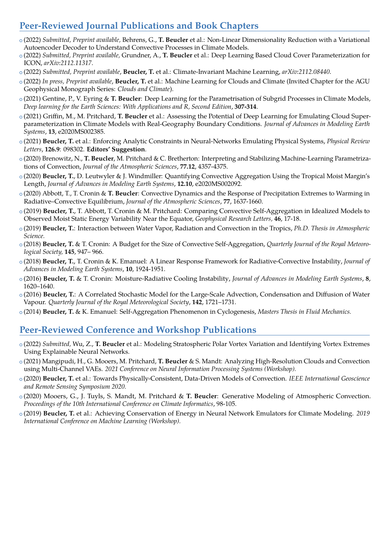# **Peer-Reviewed Journal Publications and Book Chapters**

- <sup>+</sup> (2022) *Submitted, Preprint available,* Behrens, G., **T. Beucler** [et al.: Non-Linear Dimensionality Reduction with a Variational](https://arxiv.org/abs/2204.08708) [Autoencoder Decoder to Understand Convective Processes in Climate Models.](https://arxiv.org/abs/2204.08708)
- <sup>+</sup> (2022) *Submitted, Preprint available,* Grundner, A., **T. Beucler** [et al.: Deep Learning Based Cloud Cover Parameterization for](https://arxiv.org/abs/2112.11317) ICON, *[arXiv:2112.11317](https://arxiv.org/abs/2112.11317)*.
- <sup>+</sup> (2022) *Submitted, Preprint available*, **Beucler, T.** [et al.: Climate-Invariant Machine Learning,](https://arxiv.org/abs/2112.08440) *arXiv:2112.08440*.
- <sup>+</sup> (2022) *In press, Preprint available*, **Beucler, T.** [et al.: Machine Learning for Clouds and Climate \(Invited Chapter for the AGU](https://www.essoar.org/doi/abs/10.1002/essoar.10506925.1) [Geophysical Monograph Series:](https://www.essoar.org/doi/abs/10.1002/essoar.10506925.1) *Clouds and Climate*).
- <sup>+</sup> (2021) Gentine, P., V. Eyring & **T. Beucler**[: Deep Learning for the Parametrisation of Subgrid Processes in Climate Models,](https://onlinelibrary.wiley.com/doi/pdf/10.1002/9781119646181.ch21) *[Deep learning for the Earth Sciences: With Applications and R, Second Edition](https://onlinelibrary.wiley.com/doi/pdf/10.1002/9781119646181.ch21)*, **307-314**.
- <sup>+</sup> (2021) Griffin, M., M. Pritchard, **T. Beucler** [et al.: Assessing the Potential of Deep Learning for Emulating Cloud Super](https://agupubs.onlinelibrary.wiley.com/doi/10.1029/2020MS002385)[parameterization in Climate Models with Real-Geography Boundary Conditions.](https://agupubs.onlinelibrary.wiley.com/doi/10.1029/2020MS002385) *Journal of Advances in Modeling Earth Systems*, **13**[, e2020MS002385.](https://agupubs.onlinelibrary.wiley.com/doi/10.1029/2020MS002385)
- <sup>+</sup> (2021) **Beucler, T.** [et al.: Enforcing Analytic Constraints in Neural-Networks Emulating Physical Systems,](https://journals.aps.org/prl/abstract/10.1103/PhysRevLett.126.098302) *Physical Review Letters*, **126.9**: 098302. **[Editors' Suggestion](https://journals.aps.org/prl/abstract/10.1103/PhysRevLett.126.098302)**.
- <sup>+</sup> (2020) Brenowitz, N., **T. Beucler**[, M. Pritchard & C. Bretherton: Interpreting and Stabilizing Machine-Learning Parametriza](https://journals.ametsoc.org/view/journals/atsc/77/12/jas-d-20-0082.1.xml)tions of Convection, *[Journal of the Atmospheric Sciences](https://journals.ametsoc.org/view/journals/atsc/77/12/jas-d-20-0082.1.xml)*, **77.12**, 4357-4375.
- <sup>+</sup> (2020) **Beucler, T.**[, D. Leutwyler & J. Windmiller: Quantifying Convective Aggregation Using the Tropical Moist Margin's](https://agupubs.onlinelibrary.wiley.com/doi/abs/10.1029/2020MS002092) Length, *[Journal of Advances in Modeling Earth Systems](https://agupubs.onlinelibrary.wiley.com/doi/abs/10.1029/2020MS002092)*, **12.10**, e2020MS002092.
- <sup>+</sup> (2020) Abbott, T., T. Cronin & **T. Beucler**[: Convective Dynamics and the Response of Precipitation Extremes to Warming in](https://journals.ametsoc.org/doi/full/10.1175/JAS-D-19-0197.1) [Radiative–Convective Equilibrium,](https://journals.ametsoc.org/doi/full/10.1175/JAS-D-19-0197.1) *Journal of the Atmospheric Sciences*, **77**, 1637-1660.
- <sup>+</sup> (2019) **Beucler, T.**[, T. Abbott, T. Cronin & M. Pritchard: Comparing Convective Self-Aggregation in Idealized Models to](https://agupubs.onlinelibrary.wiley.com/action/showCitFormats?doi=10.1029%2F2019GL084130) [Observed Moist Static Energy Variability Near the Equator,](https://agupubs.onlinelibrary.wiley.com/action/showCitFormats?doi=10.1029%2F2019GL084130) *Geophysical Research Letters,* **46**, 17-18.
- <sup>+</sup> (2019) **Beucler, T.**[: Interaction between Water Vapor, Radiation and Convection in the Tropics,](https://dspace.mit.edu/handle/1721.1/121758) *[Ph.D. Thesis in Atmospheric](https://dspace.mit.edu/handle/1721.1/121758) [Science.](https://dspace.mit.edu/handle/1721.1/121758)*
- <sup>+</sup> (2018) **Beucler, T.** [& T. Cronin: A Budget for the Size of Convective Self-Aggregation,](https://rmets.onlinelibrary.wiley.com/doi/abs/10.1002/qj.3468) *[Quarterly Journal of the Royal Meteoro](https://rmets.onlinelibrary.wiley.com/doi/abs/10.1002/qj.3468)[logical Society,](https://rmets.onlinelibrary.wiley.com/doi/abs/10.1002/qj.3468)* **145**, 947– 966.
- <sup>+</sup> (2018) **Beucler, T.**[, T. Cronin & K. Emanuel: A Linear Response Framework for Radiative-Convective Instability,](https://agupubs.onlinelibrary.wiley.com/doi/full/10.1029/2018MS001280) *[Journal of](https://agupubs.onlinelibrary.wiley.com/doi/abs/10.1029/2018MS001280) [Advances in Modeling Earth Systems](https://agupubs.onlinelibrary.wiley.com/doi/abs/10.1029/2018MS001280)*, **10**, 1924-1951.
- <sup>+</sup> (2016) **Beucler, T.** [& T. Cronin: Moisture-Radiative Cooling Instability,](http://onlinelibrary.wiley.com/doi/10.1002/2016MS000763/abstract) *[Journal of Advances in Modeling Earth Systems](http://onlinelibrary.wiley.com/doi/10.1002/2016MS000763/abstract)*, **8**, 1620–1640.
- <sup>+</sup> (2016) **Beucler, T.**[: A Correlated Stochastic Model for the Large-Scale Advection, Condensation and Diffusion of Water](http://onlinelibrary.wiley.com/doi/10.1002/qj.2768/abstract) [Vapour.](http://onlinelibrary.wiley.com/doi/10.1002/qj.2768/abstract) *[Quarterly Journal of the Royal Meteorological Society](http://onlinelibrary.wiley.com/doi/10.1002/qj.2768/abstract)*, **142**, 1721–1731.
- <sup>+</sup> (2014) **Beucler, T.** [& K. Emanuel: Self-Aggregation Phenomenon in Cyclogenesis,](http://tbeucler.scripts.mit.edu/tbeucler/wp-content/uploads/2018/03/Report.pdf) *[Masters Thesis in Fluid Mechanics.](http://tbeucler.scripts.mit.edu/tbeucler/wp-content/uploads/2018/03/Report.pdf)*

### **Peer-Reviewed Conference and Workshop Publications**

- <sup>+</sup> (2022) *Submitted,* Wu, Z., **T. Beucler** et al.: Modeling Stratospheric Polar Vortex Variation and Identifying Vortex Extremes Using Explainable Neural Networks.
- <sup>+</sup> (2021) Mangipudi, H., G. Mooers, M. Pritchard, **T. Beucler** [& S. Mandt: Analyzing High-Resolution Clouds and Convection](https://arxiv.org/abs/2112.01221) using Multi-Channel VAEs. *[2021 Conference on Neural Information Processing Systems \(Workshop\).](https://arxiv.org/abs/2112.01221)*
- <sup>+</sup> (2020) **Beucler, T.** [et al.: Towards Physically-Consistent, Data-Driven Models of Convection.](https://ieeexplore.ieee.org/document/9324569) *IEEE International Geoscience [and Remote Sensing Symposium 2020.](https://ieeexplore.ieee.org/document/9324569)*
- <sup>+</sup> [\(2020\) Mooers, G., J. Tuyls, S. Mandt, M. Pritchard &](https://dl.acm.org/doi/abs/10.1145/3429309.3429324) **T. Beucler**: Generative Modeling of Atmospheric Convection. *[Proceedings of the 10th International Conference on Climate Informatics](https://dl.acm.org/doi/abs/10.1145/3429309.3429324)*, 98-105.
- <sup>+</sup> (2019) **Beucler, T.** [et al.: Achieving Conservation of Energy in Neural Network Emulators for Climate Modeling.](https://arxiv.org/abs/1906.06622) *2019 [International Conference on Machine Learning \(Workshop\).](https://arxiv.org/abs/1906.06622)*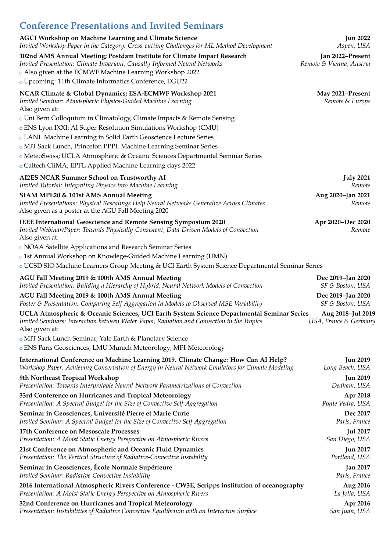| <b>Conference Presentations and Invited Seminars</b>                                                                                                                                                                                                                              |                                              |
|-----------------------------------------------------------------------------------------------------------------------------------------------------------------------------------------------------------------------------------------------------------------------------------|----------------------------------------------|
| <b>AGCI Workshop on Machine Learning and Climate Science</b>                                                                                                                                                                                                                      | <b>Jun 2022</b>                              |
| Invited Workshop Paper in the Category: Cross-cutting Challenges for ML Method Development                                                                                                                                                                                        | Aspen, USA                                   |
| 102nd AMS Annual Meeting; Postdam Institute for Climate Impact Research<br>Invited Presentation: Climate-Invariant, Causally-Informed Neural Networks<br>o Also given at the ECMWF Machine Learning Workshop 2022<br>o Upcoming: 11th Climate Informatics Conference, EGU22       | Jan 2022-Present<br>Remote & Vienna, Austria |
| NCAR Climate & Global Dynamics; ESA-ECMWF Workshop 2021<br>Invited Seminar: Atmospheric Physics-Guided Machine Learning<br>Also given at:                                                                                                                                         | May 2021-Present<br>Remote & Europe          |
| o Uni Bern Colloquium in Climatology, Climate Impacts & Remote Sensing<br>o ENS Lyon IXXI; AI Super-Resolution Simulations Workshop (CMU)<br>o LANL Machine Learning in Solid Earth Geoscience Lecture Series<br>o MIT Sack Lunch; Princeton PPPL Machine Learning Seminar Series |                                              |
| o MeteoSwiss; UCLA Atmospheric & Oceanic Sciences Departmental Seminar Series<br>o Caltech CliMA; EPFL Applied Machine Learning days 2022                                                                                                                                         |                                              |
| AI2ES NCAR Summer School on Trustworthy AI                                                                                                                                                                                                                                        | <b>July 2021</b>                             |
| Invited Tutorial: Integrating Physics into Machine Learning                                                                                                                                                                                                                       | Remote                                       |
| SIAM MPE20 & 101st AMS Annual Meeting<br>Invited Presentations: Physical Rescalings Help Neural Networks Generalize Across Climates<br>Also given as a poster at the AGU Fall Meeting 2020                                                                                        | Aug 2020-Jan 2021<br>Remote                  |
| <b>IEEE International Geoscience and Remote Sensing Symposium 2020</b><br>Invited Webinar/Paper: Towards Physically-Consistent, Data-Driven Models of Convection<br>Also given at:                                                                                                | Apr 2020-Dec 2020<br>Remote                  |
| o NOAA Satellite Applications and Research Seminar Series                                                                                                                                                                                                                         |                                              |
| o 1st Annual Workshop on Knowlege-Guided Machine Learning (UMN)                                                                                                                                                                                                                   |                                              |
| o UCSD SIO Machine Learners Group Meeting & UCI Earth System Science Departmental Seminar Series                                                                                                                                                                                  |                                              |
| AGU Fall Meeting 2019 & 100th AMS Annual Meeting                                                                                                                                                                                                                                  | Dec 2019-Jan 2020                            |
| Invited Presentation: Building a Hierarchy of Hybrid, Neural Network Models of Convection                                                                                                                                                                                         | SF & Boston, USA                             |
| AGU Fall Meeting 2019 & 100th AMS Annual Meeting                                                                                                                                                                                                                                  | Dec 2019-Jan 2020                            |
| Poster & Presentation: Comparing Self-Aggregation in Models to Observed MSE Variability                                                                                                                                                                                           | SF & Boston, USA                             |
| UCLA Atmospheric & Oceanic Sciences, UCI Earth System Science Departmental Seminar Series<br>Invited Seminars: Interaction between Water Vapor, Radiation and Convection in the Tropics<br>Also given at:                                                                         | Aug 2018-Jul 2019<br>USA, France & Germany   |
| o MIT Sack Lunch Seminar; Yale Earth & Planetary Science<br>o ENS Paris Geosciences; LMU Munich Meteorology; MPI-Meteorology                                                                                                                                                      |                                              |
| International Conference on Machine Learning 2019. Climate Change: How Can AI Help?                                                                                                                                                                                               | <b>Jun 2019</b>                              |
| Workshop Paper: Achieving Conservation of Energy in Neural Network Emulators for Climate Modeling                                                                                                                                                                                 | Long Beach, USA                              |
| 9th Northeast Tropical Workshop                                                                                                                                                                                                                                                   | <b>Jun 2019</b>                              |
| Presentation: Towards Interpretable Neural-Network Parametrizations of Convection                                                                                                                                                                                                 | Dedham, USA                                  |
| 33rd Conference on Hurricanes and Tropical Meteorology                                                                                                                                                                                                                            | Apr 2018                                     |
| Presentation: A Spectral Budget for the Size of Convective Self-Aggregation                                                                                                                                                                                                       | Ponte Vedra, USA                             |
| Seminar in Geosciences, Université Pierre et Marie Curie                                                                                                                                                                                                                          | Dec 2017                                     |
| Invited Seminar: A Spectral Budget for the Size of Convective Self-Aggregation                                                                                                                                                                                                    | Paris, France                                |
| 17th Conference on Mesoscale Processes                                                                                                                                                                                                                                            | <b>Jul 2017</b>                              |
| Presentation: A Moist Static Energy Perspective on Atmospheric Rivers                                                                                                                                                                                                             | San Diego, USA                               |
| 21st Conference on Atmospheric and Oceanic Fluid Dynamics                                                                                                                                                                                                                         | <b>Jun 2017</b>                              |
| Presentation: The Vertical Structure of Radiative-Convective Instability                                                                                                                                                                                                          | Portland, USA                                |
| Seminar in Geosciences, École Normale Supérieure                                                                                                                                                                                                                                  | <b>Jan 2017</b>                              |
| Invited Seminar: Radiative-Convective Instability                                                                                                                                                                                                                                 | Paris, France                                |
| 2016 International Atmospheric Rivers Conference - CW3E, Scripps institution of oceanography                                                                                                                                                                                      | Aug 2016                                     |
| Presentation: A Moist Static Energy Perspective on Atmospheric Rivers                                                                                                                                                                                                             | La Jolla, USA                                |
| 32nd Conference on Hurricanes and Tropical Meteorology                                                                                                                                                                                                                            | Apr 2016                                     |
| Presentation: Instabilities of Radiative Convective Equilibrium with an Interactive Surface                                                                                                                                                                                       | San Juan, USA                                |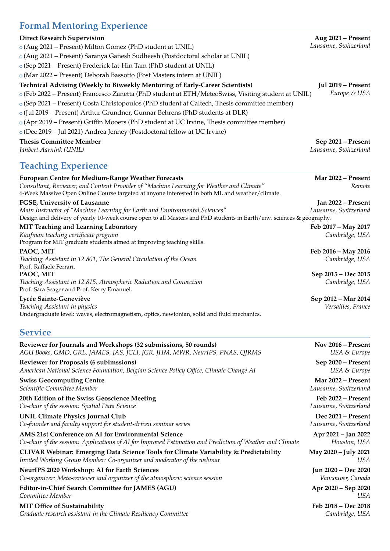# **Formal Mentoring Experience**

| <b>FOLINAL IVIERIOFING EXPERIENCE</b>                                                                                                                                                       |                                       |
|---------------------------------------------------------------------------------------------------------------------------------------------------------------------------------------------|---------------------------------------|
| <b>Direct Research Supervision</b>                                                                                                                                                          | Aug 2021 - Present                    |
| o (Aug 2021 – Present) Milton Gomez (PhD student at UNIL)                                                                                                                                   | Lausanne, Switzerland                 |
| o (Aug 2021 – Present) Saranya Ganesh Sudheesh (Postdoctoral scholar at UNIL)                                                                                                               |                                       |
| o (Sep 2021 – Present) Frederick Iat-Hin Tam (PhD student at UNIL)                                                                                                                          |                                       |
| o (Mar 2022 – Present) Deborah Bassotto (Post Masters intern at UNIL)                                                                                                                       |                                       |
| Technical Advising (Weekly to Biweekly Mentoring of Early-Career Scientists)                                                                                                                | Jul 2019 - Present                    |
| o (Feb 2022 – Present) Francesco Zanetta (PhD student at ETH/MeteoSwiss, Visiting student at UNIL)                                                                                          | Europe & USA                          |
| o (Sep 2021 – Present) Costa Christopoulos (PhD student at Caltech, Thesis committee member)                                                                                                |                                       |
| o (Jul 2019 – Present) Arthur Grundner, Gunnar Behrens (PhD students at DLR)                                                                                                                |                                       |
| o (Apr 2019 – Present) Griffin Mooers (PhD student at UC Irvine, Thesis committee member)                                                                                                   |                                       |
| o (Dec 2019 – Jul 2021) Andrea Jenney (Postdoctoral fellow at UC Irvine)                                                                                                                    |                                       |
| <b>Thesis Committee Member</b>                                                                                                                                                              | Sep 2021 - Present                    |
| Janbert Aarnink (UNIL)                                                                                                                                                                      | Lausanne, Switzerland                 |
| <b>Teaching Experience</b>                                                                                                                                                                  |                                       |
| <b>European Centre for Medium-Range Weather Forecasts</b>                                                                                                                                   | Mar 2022 - Present                    |
| Consultant, Reviewer, and Content Provider of "Machine Learning for Weather and Climate"<br>6-Week Massive Open Online Course targeted at anyone interested in both ML and weather/climate. | Remote                                |
| FGSE, University of Lausanne                                                                                                                                                                | Jan 2022 - Present                    |
| Main Instructor of "Machine Learning for Earth and Environmental Sciences"                                                                                                                  | Lausanne, Switzerland                 |
| Design and delivery of yearly 10-week course open to all Masters and PhD students in Earth/env. sciences & geography.                                                                       |                                       |
| <b>MIT Teaching and Learning Laboratory</b>                                                                                                                                                 | Feb 2017 - May 2017                   |
| Kaufman teaching certificate program                                                                                                                                                        | Cambridge, USA                        |
| Program for MIT graduate students aimed at improving teaching skills.                                                                                                                       |                                       |
| PAOC, MIT<br>Teaching Assistant in 12.801, The General Circulation of the Ocean                                                                                                             | Feb 2016 - May 2016<br>Cambridge, USA |
| Prof. Raffaele Ferrari.                                                                                                                                                                     |                                       |
| PAOC, MIT                                                                                                                                                                                   | Sep 2015 - Dec 2015                   |
| Teaching Assistant in 12.815, Atmospheric Radiation and Convection<br>Prof. Sara Seager and Prof. Kerry Emanuel.                                                                            | Cambridge, USA                        |

#### **Lycée Sainte-Geneviève Sep 2012 – Mar 2014**

*Teaching Assistant in physics Versailles, France* Undergraduate level: waves, electromagnetism, optics, newtonian, solid and fluid mechanics.

### **Service**

| Reviewer for Journals and Workshops (32 submissions, 50 rounds)                                           | Nov $2016$ – Present  |
|-----------------------------------------------------------------------------------------------------------|-----------------------|
| AGU Books, GMD, GRL, JAMES, JAS, JCLI, JGR, JHM, MWR, NeurIPS, PNAS, QJRMS                                | USA & Europe          |
| <b>Reviewer for Proposals (6 subimssions)</b>                                                             | Sep 2020 - Present    |
| American National Science Foundation, Belgian Science Policy Office, Climate Change AI                    | USA & Europe          |
| <b>Swiss Geocomputing Centre</b>                                                                          | Mar 2022 – Present    |
| Scientific Committee Member                                                                               | Lausanne, Switzerland |
| 20th Edition of the Swiss Geoscience Meeting                                                              | Feb 2022 – Present    |
| Co-chair of the session: Spatial Data Science                                                             | Lausanne, Switzerland |
| <b>UNIL Climate Physics Journal Club</b>                                                                  | Dec 2021 – Present    |
| Co-founder and faculty support for student-driven seminar series                                          | Lausanne, Switzerland |
| AMS 21st Conference on AI for Environmental Science                                                       | Apr 2021 – Jan 2022   |
| Co-chair of the session: Applications of AI for Improved Estimation and Prediction of Weather and Climate | Houston, USA          |
| CLIVAR Webinar: Emerging Data Science Tools for Climate Variability & Predictability                      | May 2020 - July 2021  |
| Invited Working Group Member: Co-organizer and moderator of the webinar                                   | USA                   |
| NeurIPS 2020 Workshop: AI for Earth Sciences                                                              | Jun 2020 - Dec 2020   |
| Co-organizer: Meta-reviewer and organizer of the atmospheric science session                              | Vancouver, Canada     |
| Editor-in-Chief Search Committee for JAMES (AGU)                                                          | Apr 2020 – Sep 2020   |
| Committee Member                                                                                          | USA                   |
| <b>MIT Office of Sustainability</b>                                                                       | Feb 2018 – Dec 2018   |
| Graduate research assistant in the Climate Resiliency Committee                                           | Cambridge, USA        |